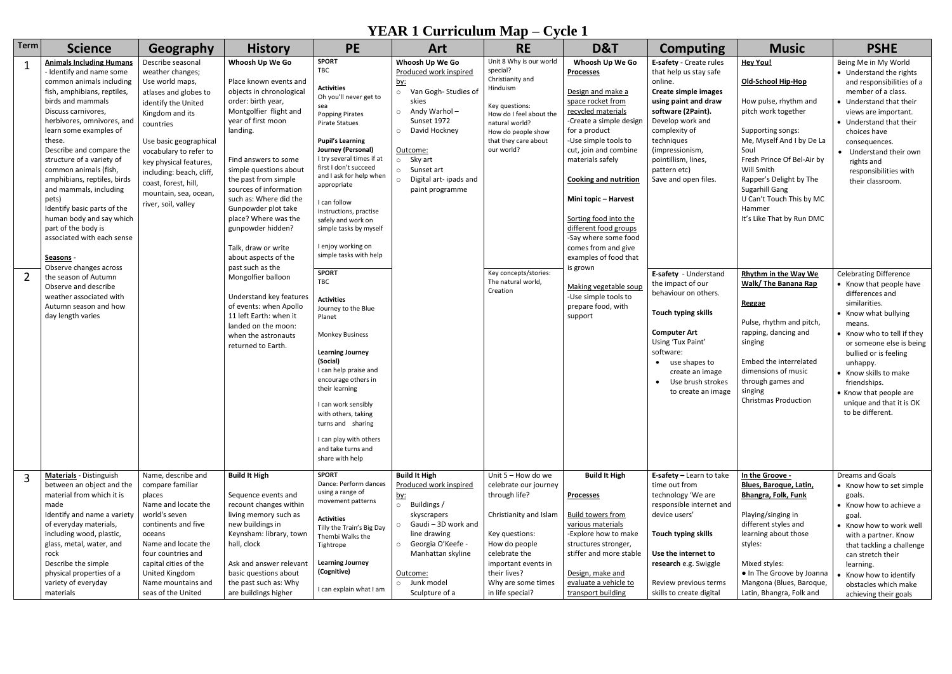## **YEAR 1 Curriculum Map – Cycle 1**

| <b>Term</b> | <b>Science</b>                                                                                                                                                                                                                                                                                                                                                                                                                                                                                                                                                                                                                                                           | Geography                                                                                                                                                                                                                                                                                                                  | <b>History</b>                                                                                                                                                                                                                                                                                                                                                                                                                                                                                                                                                                                        | <b>PE</b>                                                                                                                                                                                                                                                                                                                                                                                                                                                                                                                                                                                                                                                                                                                                                                            | <b>Art</b>                                                                                                                                                                                                                                                      | <b>RE</b>                                                                                                                                                                                                                                                 | D&T                                                                                                                                                                                                                                                                                                                                                                                                                                                                                                  | <b>Computing</b>                                                                                                                                                                                                                                                                                                                                                                                                                                                                                                    | <b>Music</b>                                                                                                                                                                                                                                                                                                                                                                                                                                                                                                                                                | <b>PSHE</b>                                                                                                                                                                                                                                                                                                                                                                                                                                                                                                                                                                                                                                                |
|-------------|--------------------------------------------------------------------------------------------------------------------------------------------------------------------------------------------------------------------------------------------------------------------------------------------------------------------------------------------------------------------------------------------------------------------------------------------------------------------------------------------------------------------------------------------------------------------------------------------------------------------------------------------------------------------------|----------------------------------------------------------------------------------------------------------------------------------------------------------------------------------------------------------------------------------------------------------------------------------------------------------------------------|-------------------------------------------------------------------------------------------------------------------------------------------------------------------------------------------------------------------------------------------------------------------------------------------------------------------------------------------------------------------------------------------------------------------------------------------------------------------------------------------------------------------------------------------------------------------------------------------------------|--------------------------------------------------------------------------------------------------------------------------------------------------------------------------------------------------------------------------------------------------------------------------------------------------------------------------------------------------------------------------------------------------------------------------------------------------------------------------------------------------------------------------------------------------------------------------------------------------------------------------------------------------------------------------------------------------------------------------------------------------------------------------------------|-----------------------------------------------------------------------------------------------------------------------------------------------------------------------------------------------------------------------------------------------------------------|-----------------------------------------------------------------------------------------------------------------------------------------------------------------------------------------------------------------------------------------------------------|------------------------------------------------------------------------------------------------------------------------------------------------------------------------------------------------------------------------------------------------------------------------------------------------------------------------------------------------------------------------------------------------------------------------------------------------------------------------------------------------------|---------------------------------------------------------------------------------------------------------------------------------------------------------------------------------------------------------------------------------------------------------------------------------------------------------------------------------------------------------------------------------------------------------------------------------------------------------------------------------------------------------------------|-------------------------------------------------------------------------------------------------------------------------------------------------------------------------------------------------------------------------------------------------------------------------------------------------------------------------------------------------------------------------------------------------------------------------------------------------------------------------------------------------------------------------------------------------------------|------------------------------------------------------------------------------------------------------------------------------------------------------------------------------------------------------------------------------------------------------------------------------------------------------------------------------------------------------------------------------------------------------------------------------------------------------------------------------------------------------------------------------------------------------------------------------------------------------------------------------------------------------------|
|             | <b>Animals Including Humans</b><br>- Identify and name some<br>common animals including<br>fish, amphibians, reptiles,<br>birds and mammals<br>Discuss carnivores,<br>herbivores, omnivores, and<br>learn some examples of<br>these.<br>Describe and compare the<br>structure of a variety of<br>common animals (fish,<br>amphibians, reptiles, birds<br>and mammals, including<br>pets)<br>Identify basic parts of the<br>human body and say which<br>part of the body is<br>associated with each sense<br>Seasons -<br>Observe changes across<br>the season of Autumn<br>Observe and describe<br>weather associated with<br>Autumn season and how<br>day length varies | Describe seasonal<br>weather changes;<br>Use world maps,<br>atlases and globes to<br>identify the United<br>Kingdom and its<br>countries<br>Use basic geographical<br>vocabulary to refer to<br>key physical features,<br>including: beach, cliff,<br>coast, forest, hill,<br>mountain, sea, ocean,<br>river, soil, valley | Whoosh Up We Go<br>Place known events and<br>objects in chronological<br>order: birth year,<br>Montgolfier flight and<br>year of first moon<br>landing.<br>Find answers to some<br>simple questions about<br>the past from simple<br>sources of information<br>such as: Where did the<br>Gunpowder plot take<br>place? Where was the<br>gunpowder hidden?<br>Talk, draw or write<br>about aspects of the<br>past such as the<br>Mongolfier balloon<br>Understand key features<br>of events: when Apollo<br>11 left Earth: when it<br>landed on the moon:<br>when the astronauts<br>returned to Earth. | <b>SPORT</b><br>TBC<br><b>Activities</b><br>Oh you'll never get to<br>sea<br><b>Popping Pirates</b><br><b>Pirate Statues</b><br><b>Pupil's Learning</b><br>Journey (Personal)<br>I try several times if at<br>first I don't succeed<br>and I ask for help when<br>appropriate<br>I can follow<br>instructions, practise<br>safely and work on<br>simple tasks by myself<br>I enjoy working on<br>simple tasks with help<br><b>SPORT</b><br><b>TBC</b><br><b>Activities</b><br>Journey to the Blue<br>Planet<br><b>Monkey Business</b><br><b>Learning Journey</b><br>(Social)<br>I can help praise and<br>encourage others in<br>their learning<br>I can work sensibly<br>with others, taking<br>turns and sharing<br>I can play with others<br>and take turns and<br>share with help | Whoosh Up We Go<br>Produced work inspired<br><u>by:</u><br>o Van Gogh-Studies of<br>skies<br>Andy Warhol-<br>$\circ$<br>Sunset 1972<br>David Hockney<br>$\circ$<br>Outcome:<br>o Sky art<br>o Sunset art<br>Digital art-ipads and<br>$\circ$<br>paint programme | Unit 8 Why is our world<br>special?<br>Christianity and<br>Hinduism<br>Key questions:<br>How do I feel about the<br>natural world?<br>How do people show<br>that they care about<br>our world?<br>Key concepts/stories:<br>The natural world,<br>Creation | Whoosh Up We Go<br><b>Processes</b><br>Design and make a<br>space rocket from<br>recycled materials<br>-Create a simple design<br>for a product<br>-Use simple tools to<br>cut, join and combine<br>materials safely<br><b>Cooking and nutrition</b><br>Mini topic - Harvest<br>Sorting food into the<br>different food groups<br>-Say where some food<br>comes from and give<br>examples of food that<br>is grown<br>Making vegetable soup<br>-Use simple tools to<br>prepare food, with<br>support | E-safety - Create rules<br>that help us stay safe<br>online.<br><b>Create simple images</b><br>using paint and draw<br>software (2Paint).<br>Develop work and<br>complexity of<br>techniques<br>(impressionism,<br>pointillism, lines,<br>pattern etc)<br>Save and open files.<br>E-safety - Understand<br>the impact of our<br>behaviour on others.<br>Touch typing skills<br><b>Computer Art</b><br>Using 'Tux Paint'<br>software:<br>use shapes to<br>create an image<br>Use brush strokes<br>to create an image | <b>Hey You!</b><br><b>Old-School Hip-Hop</b><br>How pulse, rhythm and<br>pitch work together<br>Supporting songs:<br>Me, Myself And I by De La<br>Soul<br>Fresh Prince Of Bel-Air by<br>Will Smith<br>Rapper's Delight by The<br>Sugarhill Gang<br>U Can't Touch This by MC<br>Hammer<br>It's Like That by Run DMC<br>Rhythm in the Way We<br>Walk/ The Banana Rap<br>Reggae<br>Pulse, rhythm and pitch,<br>rapping, dancing and<br>singing<br>Embed the interrelated<br>dimensions of music<br>through games and<br>singing<br><b>Christmas Production</b> | Being Me in My World<br>• Understand the rights<br>and responsibilities of a<br>member of a class.<br>• Understand that their<br>views are important.<br>• Understand that their<br>choices have<br>consequences.<br>• Understand their own<br>rights and<br>responsibilities with<br>their classroom.<br><b>Celebrating Difference</b><br>• Know that people have<br>differences and<br>similarities.<br>• Know what bullying<br>means.<br>• Know who to tell if they<br>or someone else is being<br>bullied or is feeling<br>unhappy.<br>• Know skills to make<br>friendships.<br>• Know that people are<br>unique and that it is OK<br>to be different. |
|             | <b>Materials</b> - Distinguish<br>between an object and the<br>material from which it is<br>made<br>Identify and name a variety<br>of everyday materials,<br>including wood, plastic,<br>glass, metal, water, and<br>rock<br>Describe the simple<br>physical properties of a                                                                                                                                                                                                                                                                                                                                                                                             | Name, describe and<br>compare familiar<br>places<br>Name and locate the<br>world's seven<br>continents and five<br>oceans<br>Name and locate the<br>four countries and<br>capital cities of the<br>United Kingdom                                                                                                          | <b>Build It High</b><br>Sequence events and<br>recount changes within<br>living memory such as<br>new buildings in<br>Keynsham: library, town<br>hall, clock<br>Ask and answer relevant<br>basic questions about                                                                                                                                                                                                                                                                                                                                                                                      | <b>SPORT</b><br>Dance: Perform dances<br>using a range of<br>movement patterns<br><b>Activities</b><br>Tilly the Train's Big Day<br>Thembi Walks the<br>Tightrope<br><b>Learning Journey</b><br>(Cognitive)                                                                                                                                                                                                                                                                                                                                                                                                                                                                                                                                                                          | <b>Build It High</b><br>Produced work inspired<br><u>by:</u><br>o Buildings /<br>skyscrapers<br>Gaudi-3D work and<br>$\circ$<br>line drawing<br>Georgia O'Keefe -<br>$\circ$<br>Manhattan skyline<br>Outcome:                                                   | Unit 5 - How do we<br>celebrate our journey<br>through life?<br>Christianity and Islam<br>Key questions:<br>How do people<br>celebrate the<br>important events in<br>their lives?                                                                         | <b>Build It High</b><br><b>Processes</b><br><b>Build towers from</b><br>various materials<br>-Explore how to make<br>structures stronger,<br>stiffer and more stable<br>Design, make and                                                                                                                                                                                                                                                                                                             | E-safety $-$ Learn to take<br>time out from<br>technology 'We are<br>responsible internet and<br>device users'<br>Touch typing skills<br>Use the internet to<br>research e.g. Swiggle                                                                                                                                                                                                                                                                                                                               | In the Groove -<br><b>Blues, Baroque, Latin,</b><br><b>Bhangra, Folk, Funk</b><br>Playing/singing in<br>different styles and<br>learning about those<br>styles:<br>Mixed styles:<br>. In The Groove by Joanna                                                                                                                                                                                                                                                                                                                                               | Dreams and Goals<br>• Know how to set simple<br>goals.<br>• Know how to achieve a<br>goal.<br>• Know how to work well<br>with a partner. Know<br>that tackling a challenge<br>can stretch their<br>learning.                                                                                                                                                                                                                                                                                                                                                                                                                                               |
|             | variety of everyday<br>materials                                                                                                                                                                                                                                                                                                                                                                                                                                                                                                                                                                                                                                         | Name mountains and<br>seas of the United                                                                                                                                                                                                                                                                                   | the past such as: Why<br>are buildings higher                                                                                                                                                                                                                                                                                                                                                                                                                                                                                                                                                         | I can explain what I am                                                                                                                                                                                                                                                                                                                                                                                                                                                                                                                                                                                                                                                                                                                                                              | o Junk model<br>Sculpture of a                                                                                                                                                                                                                                  | Why are some times<br>in life special?                                                                                                                                                                                                                    | evaluate a vehicle to<br>transport building                                                                                                                                                                                                                                                                                                                                                                                                                                                          | Review previous terms<br>skills to create digital                                                                                                                                                                                                                                                                                                                                                                                                                                                                   | Mangona (Blues, Baroque,<br>Latin, Bhangra, Folk and                                                                                                                                                                                                                                                                                                                                                                                                                                                                                                        | • Know how to identify<br>obstacles which make<br>achieving their goals                                                                                                                                                                                                                                                                                                                                                                                                                                                                                                                                                                                    |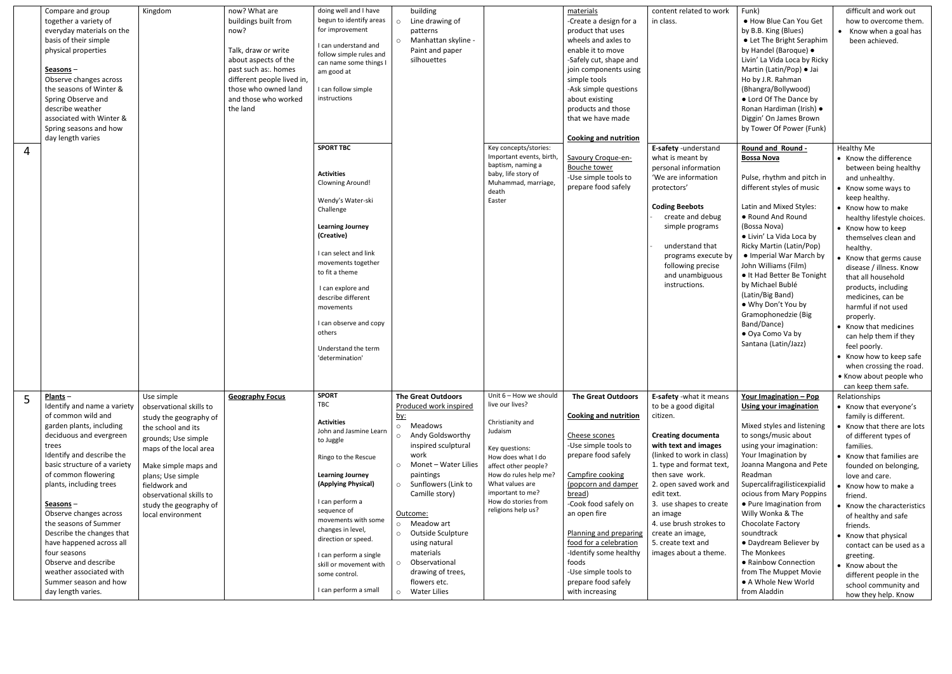|                | Compare and group<br>together a variety of<br>everyday materials on the<br>basis of their simple<br>physical properties<br>Seasons-<br>Observe changes across<br>the seasons of Winter &<br>Spring Observe and<br>describe weather<br>associated with Winter &<br>Spring seasons and how<br>day length varies                                                                                                                                                                         | Kingdom                                                                                                                                                                                                                                                                        | now? What are<br>buildings built from<br>now?<br>Talk, draw or write<br>about aspects of the<br>past such as:. homes<br>different people lived in,<br>those who owned land<br>and those who worked<br>the land | doing well and I have<br>begun to identify areas<br>for improvement<br>I can understand and<br>follow simple rules and<br>can name some things I<br>am good at<br>I can follow simple<br>instructions                                                                                                                                                       | building<br>Line drawing of<br>$\circ$<br>patterns<br>o Manhattan skyline -<br>Paint and paper<br>silhouettes                                                                                                                                                                                                                                                                                    |                                                                                                                                                                                                                                                       | materials<br>-Create a design for a<br>product that uses<br>wheels and axles to<br>enable it to move<br>-Safely cut, shape and<br>join components using<br>simple tools<br>-Ask simple questions<br>about existing<br>products and those<br>that we have made<br><b>Cooking and nutrition</b>                                                                                   | content related to work<br>in class.                                                                                                                                                                                                                                                                                                                                      | Funk)<br>• How Blue Can You Get<br>by B.B. King (Blues)<br>• Let The Bright Seraphim<br>by Handel (Baroque) ·<br>Livin' La Vida Loca by Ricky<br>Martin (Latin/Pop) · Jai<br>Ho by J.R. Rahman<br>(Bhangra/Bollywood)<br>• Lord Of The Dance by<br>Ronan Hardiman (Irish) ·<br>Diggin' On James Brown<br>by Tower Of Power (Funk)                                                                                                                                                     | difficult and work out<br>how to overcome them.<br>• Know when a goal has<br>been achieved.                                                                                                                                                                                                                                                                                                                                                                                                                                                                                |
|----------------|---------------------------------------------------------------------------------------------------------------------------------------------------------------------------------------------------------------------------------------------------------------------------------------------------------------------------------------------------------------------------------------------------------------------------------------------------------------------------------------|--------------------------------------------------------------------------------------------------------------------------------------------------------------------------------------------------------------------------------------------------------------------------------|----------------------------------------------------------------------------------------------------------------------------------------------------------------------------------------------------------------|-------------------------------------------------------------------------------------------------------------------------------------------------------------------------------------------------------------------------------------------------------------------------------------------------------------------------------------------------------------|--------------------------------------------------------------------------------------------------------------------------------------------------------------------------------------------------------------------------------------------------------------------------------------------------------------------------------------------------------------------------------------------------|-------------------------------------------------------------------------------------------------------------------------------------------------------------------------------------------------------------------------------------------------------|---------------------------------------------------------------------------------------------------------------------------------------------------------------------------------------------------------------------------------------------------------------------------------------------------------------------------------------------------------------------------------|---------------------------------------------------------------------------------------------------------------------------------------------------------------------------------------------------------------------------------------------------------------------------------------------------------------------------------------------------------------------------|---------------------------------------------------------------------------------------------------------------------------------------------------------------------------------------------------------------------------------------------------------------------------------------------------------------------------------------------------------------------------------------------------------------------------------------------------------------------------------------|----------------------------------------------------------------------------------------------------------------------------------------------------------------------------------------------------------------------------------------------------------------------------------------------------------------------------------------------------------------------------------------------------------------------------------------------------------------------------------------------------------------------------------------------------------------------------|
| $\overline{4}$ |                                                                                                                                                                                                                                                                                                                                                                                                                                                                                       |                                                                                                                                                                                                                                                                                |                                                                                                                                                                                                                | <b>SPORT TBC</b><br><b>Activities</b><br><b>Clowning Around!</b><br>Wendy's Water-ski<br>Challenge<br><b>Learning Journey</b><br>(Creative)<br>I can select and link<br>movements together<br>to fit a theme<br>I can explore and<br>describe different<br>movements<br>I can observe and copy<br>others<br>Understand the term<br>'determination'          |                                                                                                                                                                                                                                                                                                                                                                                                  | Key concepts/stories:<br>Important events, birth,<br>baptism, naming a<br>baby, life story of<br>Muhammad, marriage,<br>death<br>Easter                                                                                                               | Savoury Croque-en-<br><b>Bouche tower</b><br>-Use simple tools to<br>prepare food safely                                                                                                                                                                                                                                                                                        | E-safety -understand<br>what is meant by<br>personal information<br>'We are information<br>protectors'<br><b>Coding Beebots</b><br>create and debug<br>simple programs<br>understand that<br>programs execute by<br>following precise<br>and unambiguous<br>instructions.                                                                                                 | Round and Round -<br><b>Bossa Nova</b><br>Pulse, rhythm and pitch in<br>different styles of music<br>Latin and Mixed Styles:<br>• Round And Round<br>(Bossa Nova)<br>• Livin' La Vida Loca by<br>Ricky Martin (Latin/Pop)<br>• Imperial War March by<br>John Williams (Film)<br>• It Had Better Be Tonight<br>by Michael Bublé<br>(Latin/Big Band)<br>• Why Don't You by<br>Gramophonedzie (Big<br>Band/Dance)<br>• Oya Como Va by<br>Santana (Latin/Jazz)                            | Healthy Me<br>• Know the difference<br>between being healthy<br>and unhealthy.<br>• Know some ways to<br>keep healthy.<br>• Know how to make<br>healthy lifestyle choices.<br>• Know how to keep<br>themselves clean and<br>healthy.<br>• Know that germs cause<br>disease / illness. Know<br>that all household<br>products, including<br>medicines, can be<br>harmful if not used<br>properly.<br>• Know that medicines<br>can help them if they<br>feel poorly.<br>• Know how to keep safe<br>when crossing the road.<br>• Know about people who<br>can keep them safe. |
|                | Plants-<br>Identify and name a variety<br>of common wild and<br>garden plants, including<br>deciduous and evergreen<br>trees<br>Identify and describe the<br>basic structure of a variety<br>of common flowering<br>plants, including trees<br>Seasons-<br>Observe changes across<br>the seasons of Summer<br>Describe the changes that<br>have happened across all<br>four seasons<br>Observe and describe<br>weather associated with<br>Summer season and how<br>day length varies. | Use simple<br>observational skills to<br>study the geography of<br>the school and its<br>grounds; Use simple<br>maps of the local area<br>Make simple maps and<br>plans; Use simple<br>fieldwork and<br>observational skills to<br>study the geography of<br>local environment | <b>Geography Focus</b>                                                                                                                                                                                         | <b>SPORT</b><br>TBC<br><b>Activities</b><br>John and Jasmine Learn<br>to Juggle<br>Ringo to the Rescue<br><b>Learning Journey</b><br>(Applying Physical)<br>I can perform a<br>sequence of<br>movements with some<br>changes in level,<br>direction or speed.<br>I can perform a single<br>skill or movement with<br>some control.<br>I can perform a small | <b>The Great Outdoors</b><br>Produced work inspired<br><u>by:</u><br>o Meadows<br>o Andy Goldsworthy<br>inspired sculptural<br>work<br>Monet - Water Lilies<br>$\circ$<br>paintings<br>o Sunflowers (Link to<br>Camille story)<br>Outcome:<br>o Meadow art<br>Outside Sculpture<br>$\circ$<br>using natural<br>materials<br>Observational<br>drawing of trees,<br>flowers etc.<br>o Water Lilies | Unit 6 - How we should<br>live our lives?<br>Christianity and<br>Judaism<br>Key questions:<br>How does what I do<br>affect other people?<br>How do rules help me?<br>What values are<br>important to me?<br>How do stories from<br>religions help us? | <b>The Great Outdoors</b><br><b>Cooking and nutrition</b><br>Cheese scones<br>-Use simple tools to<br>prepare food safely<br>Campfire cooking<br>(popcorn and damper<br>bread)<br>-Cook food safely on<br>an open fire<br>Planning and preparing<br>food for a celebration<br>-Identify some healthy<br>foods<br>-Use simple tools to<br>prepare food safely<br>with increasing | E-safety -what it means<br>to be a good digital<br>citizen.<br><b>Creating documenta</b><br>with text and images<br>(linked to work in class)<br>1. type and format text,<br>then save work.<br>2. open saved work and<br>edit text.<br>3. use shapes to create<br>an image<br>4. use brush strokes to<br>create an image,<br>5. create text and<br>images about a theme. | Your Imagination - Pop<br><b>Using your imagination</b><br>Mixed styles and listening<br>to songs/music about<br>using your imagination:<br>Your Imagination by<br>Joanna Mangona and Pete<br>Readman<br>Supercalifragilisticexpialid<br>ocious from Mary Poppins<br>• Pure Imagination from<br>Willy Wonka & The<br>Chocolate Factory<br>soundtrack<br>• Daydream Believer by<br>The Monkees<br>• Rainbow Connection<br>from The Muppet Movie<br>• A Whole New World<br>from Aladdin | Relationships<br>• Know that everyone's<br>family is different.<br>Know that there are lots<br>of different types of<br>families.<br>• Know that families are<br>founded on belonging,<br>love and care.<br>Know how to make a<br>friend.<br>• Know the characteristics<br>of healthy and safe<br>friends.<br>• Know that physical<br>contact can be used as a<br>greeting.<br>• Know about the<br>different people in the<br>school community and<br>how they help. Know                                                                                                  |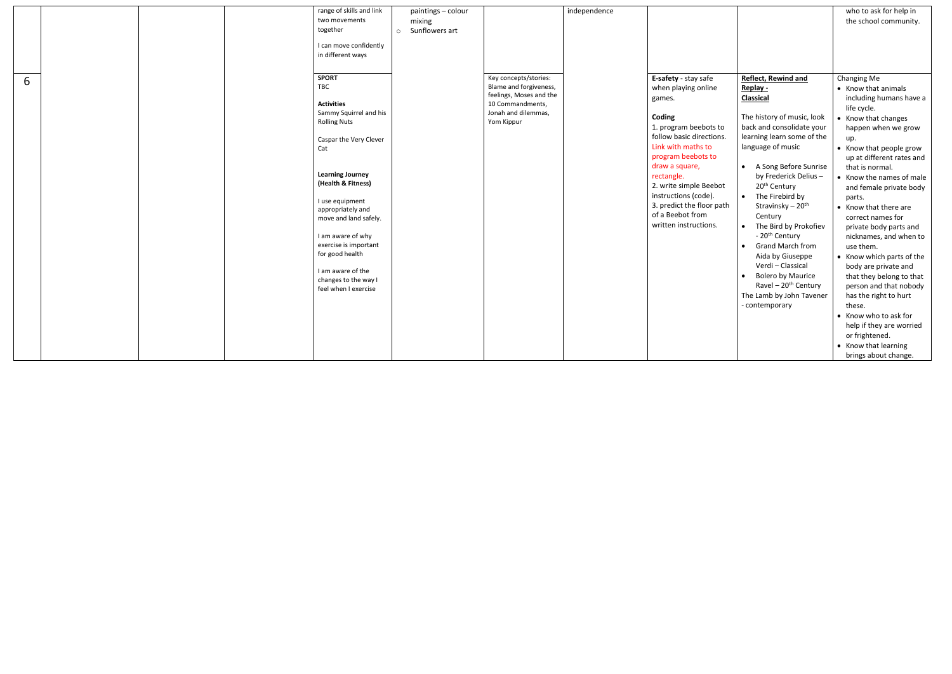|   | range of skills and link<br>two movements<br>together<br>I can move confidently<br>in different ways                                                                                                                                                                                                                                                                               | paintings - colour<br>mixing<br>Sunflowers art<br>$\circ$ |                                                                                                                                     | independence |                                                                                                                                                                                                                                                                                                                              |                                                                                                                                                                                                                                                                                                                                                                                                                                                                                                                                                                                  | who to ask for help in<br>the school community.                                                                                                                                                                                                                                                                                                                                                                                                                                                                                                                                                                                                                   |
|---|------------------------------------------------------------------------------------------------------------------------------------------------------------------------------------------------------------------------------------------------------------------------------------------------------------------------------------------------------------------------------------|-----------------------------------------------------------|-------------------------------------------------------------------------------------------------------------------------------------|--------------|------------------------------------------------------------------------------------------------------------------------------------------------------------------------------------------------------------------------------------------------------------------------------------------------------------------------------|----------------------------------------------------------------------------------------------------------------------------------------------------------------------------------------------------------------------------------------------------------------------------------------------------------------------------------------------------------------------------------------------------------------------------------------------------------------------------------------------------------------------------------------------------------------------------------|-------------------------------------------------------------------------------------------------------------------------------------------------------------------------------------------------------------------------------------------------------------------------------------------------------------------------------------------------------------------------------------------------------------------------------------------------------------------------------------------------------------------------------------------------------------------------------------------------------------------------------------------------------------------|
| 6 | <b>SPORT</b><br>TBC<br><b>Activities</b><br>Sammy Squirrel and his<br><b>Rolling Nuts</b><br>Caspar the Very Clever<br>Cat<br><b>Learning Journey</b><br>(Health & Fitness)<br>I use equipment<br>appropriately and<br>move and land safely.<br>I am aware of why<br>exercise is important<br>for good health<br>I am aware of the<br>changes to the way I<br>feel when I exercise |                                                           | Key concepts/stories:<br>Blame and forgiveness,<br>feelings, Moses and the<br>10 Commandments,<br>Jonah and dilemmas,<br>Yom Kippur |              | E-safety - stay safe<br>when playing online<br>games.<br>Coding<br>1. program beebots to<br>follow basic directions.<br>Link with maths to<br>program beebots to<br>draw a square,<br>rectangle.<br>2. write simple Beebot<br>instructions (code).<br>3. predict the floor path<br>of a Beebot from<br>written instructions. | Reflect, Rewind and<br>Replay -<br><b>Classical</b><br>The history of music, look<br>back and consolidate your<br>learning learn some of the<br>language of music<br>• A Song Before Sunrise<br>by Frederick Delius-<br>20 <sup>th</sup> Century<br>• The Firebird by<br>Stravinsky – 20 <sup>th</sup><br>Century<br>The Bird by Prokofiev<br>$\bullet$<br>- 20 <sup>th</sup> Century<br>Grand March from<br>$\bullet$<br>Aida by Giuseppe<br>Verdi - Classical<br><b>Bolero by Maurice</b><br>$\bullet$<br>Ravel - $20th$ Century<br>The Lamb by John Tavener<br>- contemporary | Changing Me<br>• Know that animals<br>including humans have a<br>life cycle.<br>• Know that changes<br>happen when we grow<br>up.<br>• Know that people grow<br>up at different rates and<br>that is normal.<br>• Know the names of male<br>and female private body<br>parts.<br>• Know that there are<br>correct names for<br>private body parts and<br>nicknames, and when to<br>use them.<br>• Know which parts of the<br>body are private and<br>that they belong to that<br>person and that nobody<br>has the right to hurt<br>these.<br>• Know who to ask for<br>help if they are worried<br>or frightened.<br>• Know that learning<br>brings about change. |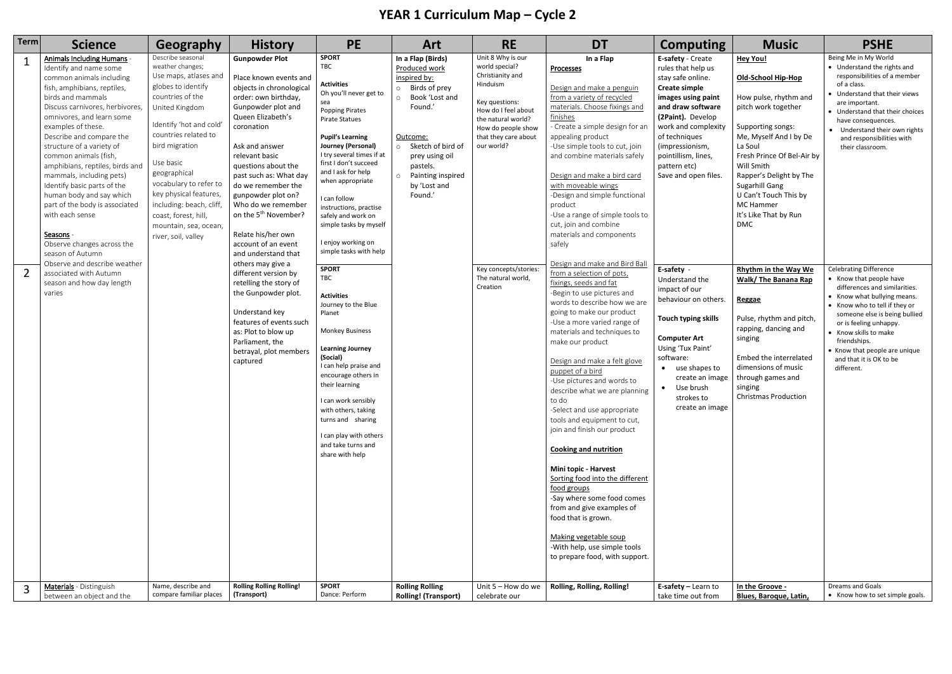## **YEAR 1 Curriculum Map – Cycle 2**

| <b>Term</b> | <b>Science</b>                                                                                                                                                                                                                                                                                                                                                                                                                                                                                                                                                                                                                                              | Geography                                                                                                                                                                                                                                                                                                                                                                            | <b>History</b>                                                                                                                                                                                                                                                                                                                                                                                                                                                                                                                                                                                                                                         | <b>PE</b>                                                                                                                                                                                                                                                                                                                                                                                                                                                                                                                                                                                                                                                                                                                                                                     | Art                                                                                                                                                                                                                           | <b>RE</b>                                                                                                                                                                                                                                                 | <b>DT</b>                                                                                                                                                                                                                                                                                                                                                                                                                                                                                                                                                                                                                                                                                                                                                                                                                                                                                                                                                                                                                                                                                                                                                                                                                                         | <b>Computing</b>                                                                                                                                                                                                                                                                                                                                                                                                                                                                                                                                | <b>Music</b>                                                                                                                                                                                                                                                                                                                                                                                                                                                                                                                                                                 | <b>PSHE</b>                                                                                                                                                                                                                                                                                                                                                                                                                                                                                                                                                                                                                                 |
|-------------|-------------------------------------------------------------------------------------------------------------------------------------------------------------------------------------------------------------------------------------------------------------------------------------------------------------------------------------------------------------------------------------------------------------------------------------------------------------------------------------------------------------------------------------------------------------------------------------------------------------------------------------------------------------|--------------------------------------------------------------------------------------------------------------------------------------------------------------------------------------------------------------------------------------------------------------------------------------------------------------------------------------------------------------------------------------|--------------------------------------------------------------------------------------------------------------------------------------------------------------------------------------------------------------------------------------------------------------------------------------------------------------------------------------------------------------------------------------------------------------------------------------------------------------------------------------------------------------------------------------------------------------------------------------------------------------------------------------------------------|-------------------------------------------------------------------------------------------------------------------------------------------------------------------------------------------------------------------------------------------------------------------------------------------------------------------------------------------------------------------------------------------------------------------------------------------------------------------------------------------------------------------------------------------------------------------------------------------------------------------------------------------------------------------------------------------------------------------------------------------------------------------------------|-------------------------------------------------------------------------------------------------------------------------------------------------------------------------------------------------------------------------------|-----------------------------------------------------------------------------------------------------------------------------------------------------------------------------------------------------------------------------------------------------------|---------------------------------------------------------------------------------------------------------------------------------------------------------------------------------------------------------------------------------------------------------------------------------------------------------------------------------------------------------------------------------------------------------------------------------------------------------------------------------------------------------------------------------------------------------------------------------------------------------------------------------------------------------------------------------------------------------------------------------------------------------------------------------------------------------------------------------------------------------------------------------------------------------------------------------------------------------------------------------------------------------------------------------------------------------------------------------------------------------------------------------------------------------------------------------------------------------------------------------------------------|-------------------------------------------------------------------------------------------------------------------------------------------------------------------------------------------------------------------------------------------------------------------------------------------------------------------------------------------------------------------------------------------------------------------------------------------------------------------------------------------------------------------------------------------------|------------------------------------------------------------------------------------------------------------------------------------------------------------------------------------------------------------------------------------------------------------------------------------------------------------------------------------------------------------------------------------------------------------------------------------------------------------------------------------------------------------------------------------------------------------------------------|---------------------------------------------------------------------------------------------------------------------------------------------------------------------------------------------------------------------------------------------------------------------------------------------------------------------------------------------------------------------------------------------------------------------------------------------------------------------------------------------------------------------------------------------------------------------------------------------------------------------------------------------|
| $\mathbf 1$ | Animals Including Humans -<br>Identify and name some<br>common animals including<br>fish, amphibians, reptiles,<br>birds and mammals<br>Discuss carnivores, herbivores,<br>omnivores, and learn some<br>examples of these.<br>Describe and compare the<br>structure of a variety of<br>common animals (fish,<br>amphibians, reptiles, birds and<br>mammals, including pets)<br>Identify basic parts of the<br>human body and say which<br>part of the body is associated<br>with each sense<br>Seasons -<br>Observe changes across the<br>season of Autumn<br>Observe and describe weather<br>associated with Autumn<br>season and how day length<br>varies | Describe seasonal<br>weather changes;<br>Use maps, atlases and<br>globes to identify<br>countries of the<br>United Kingdom<br>Identify 'hot and cold'<br>countries related to<br>bird migration<br>Use basic<br>geographical<br>vocabulary to refer to<br>key physical features,<br>including: beach, cliff,<br>coast, forest, hill,<br>mountain, sea, ocean,<br>river, soil, valley | <b>Gunpowder Plot</b><br>Place known events and<br>objects in chronological<br>order: own birthday,<br>Gunpowder plot and<br>Queen Elizabeth's<br>coronation<br>Ask and answer<br>relevant basic<br>questions about the<br>past such as: What day<br>do we remember the<br>gunpowder plot on?<br>Who do we remember<br>on the 5 <sup>th</sup> November?<br>Relate his/her own<br>account of an event<br>and understand that<br>others may give a<br>different version by<br>retelling the story of<br>the Gunpowder plot.<br>Understand key<br>features of events such<br>as: Plot to blow up<br>Parliament, the<br>betrayal, plot members<br>captured | <b>SPORT</b><br>TBC<br><b>Activities</b><br>Oh you'll never get to<br>sea<br><b>Popping Pirates</b><br><b>Pirate Statues</b><br><b>Pupil's Learning</b><br>Journey (Personal)<br>I try several times if at<br>first I don't succeed<br>and I ask for help<br>when appropriate<br>I can follow<br>instructions, practise<br>safely and work on<br>simple tasks by myself<br>I enjoy working on<br>simple tasks with help<br><b>SPORT</b><br>TBC<br><b>Activities</b><br>Journey to the Blue<br>Planet<br><b>Monkey Business</b><br><b>Learning Journey</b><br>(Social)<br>I can help praise and<br>encourage others in<br>their learning<br>I can work sensibly<br>with others, taking<br>turns and sharing<br>I can play with others<br>and take turns and<br>share with help | In a Flap (Birds)<br>Produced work<br>inspired by:<br>$\circ$ Birds of prey<br>O Book 'Lost and<br>Found.'<br>Outcome:<br>o Sketch of bird of<br>prey using oil<br>pastels.<br>o Painting inspired<br>by 'Lost and<br>Found.' | Unit 8 Why is our<br>world special?<br>Christianity and<br>Hinduism<br>Key questions:<br>How do I feel about<br>the natural world?<br>How do people show<br>that they care about<br>our world?<br>Key concepts/stories:<br>The natural world,<br>Creation | In a Flap<br>Processes<br>Design and make a penguin<br>from a variety of recycled<br>materials. Choose fixings and<br>finishes<br>- Create a simple design for ar<br>appealing product<br>-Use simple tools to cut, join<br>and combine materials safely<br>Design and make a bird card<br>with moveable wings<br>-Design and simple functional<br>product<br>-Use a range of simple tools to<br>cut, join and combine<br>materials and components<br>safely<br>Design and make and Bird Ball<br>from a selection of pots,<br>fixings, seeds and fat<br>-Begin to use pictures and<br>words to describe how we are<br>going to make our product<br>-Use a more varied range of<br>materials and techniques to<br>make our product<br>Design and make a felt glove<br>puppet of a bird<br>-Use pictures and words to<br>describe what we are planning<br>to do<br>-Select and use appropriate<br>tools and equipment to cut,<br>join and finish our product<br><b>Cooking and nutrition</b><br>Mini topic - Harvest<br>Sorting food into the different<br>food groups<br>-Say where some food comes<br>from and give examples of<br>food that is grown.<br>Making vegetable soup<br>-With help, use simple tools<br>to prepare food, with support. | E-safety - Create<br>rules that help us<br>stay safe online.<br><b>Create simple</b><br>images using paint<br>and draw software<br>(2Paint). Develop<br>work and complexity<br>of techniques<br>(impressionism,<br>pointillism, lines,<br>pattern etc)<br>Save and open files.<br>E-safety -<br>Understand the<br>impact of our<br>behaviour on others.<br><b>Touch typing skills</b><br><b>Computer Art</b><br>Using 'Tux Paint'<br>software:<br>• use shapes to<br>create an image<br>Use brush<br>$\bullet$<br>strokes to<br>create an image | <b>Hey You!</b><br><b>Old-School Hip-Hop</b><br>How pulse, rhythm and<br>pitch work together<br>Supporting songs:<br>Me, Myself And I by De<br>La Soul<br>Fresh Prince Of Bel-Air by<br>Will Smith<br>Rapper's Delight by The<br>Sugarhill Gang<br>U Can't Touch This by<br>MC Hammer<br>It's Like That by Run<br><b>DMC</b><br><b>Rhythm in the Way We</b><br>Walk/ The Banana Rap<br>Reggae<br>Pulse, rhythm and pitch,<br>rapping, dancing and<br>singing<br>Embed the interrelated<br>dimensions of music<br>through games and<br>singing<br><b>Christmas Production</b> | Being Me in My World<br>• Understand the rights and<br>responsibilities of a member<br>of a class.<br>• Understand that their views<br>are important.<br>• Understand that their choices<br>have consequences.<br>• Understand their own rights<br>and responsibilities with<br>their classroom.<br><b>Celebrating Difference</b><br>• Know that people have<br>differences and similarities.<br>• Know what bullying means.<br>• Know who to tell if they or<br>someone else is being bullied<br>or is feeling unhappy.<br>• Know skills to make<br>friendships.<br>• Know that people are unique<br>and that it is OK to be<br>different. |
|             | Materials - Distinguish<br>between an object and the                                                                                                                                                                                                                                                                                                                                                                                                                                                                                                                                                                                                        | Name, describe and<br>compare familiar places                                                                                                                                                                                                                                                                                                                                        | <b>Rolling Rolling Rolling!</b><br>(Transport)                                                                                                                                                                                                                                                                                                                                                                                                                                                                                                                                                                                                         | <b>SPORT</b><br>Dance: Perform                                                                                                                                                                                                                                                                                                                                                                                                                                                                                                                                                                                                                                                                                                                                                | <b>Rolling Rolling</b><br><b>Rolling! (Transport)</b>                                                                                                                                                                         | Unit 5 - How do we<br>celebrate our                                                                                                                                                                                                                       | Rolling, Rolling, Rolling!                                                                                                                                                                                                                                                                                                                                                                                                                                                                                                                                                                                                                                                                                                                                                                                                                                                                                                                                                                                                                                                                                                                                                                                                                        | E-safety - Learn to<br>take time out from                                                                                                                                                                                                                                                                                                                                                                                                                                                                                                       | In the Groove -<br><b>Blues, Baroque, Latin,</b>                                                                                                                                                                                                                                                                                                                                                                                                                                                                                                                             | Dreams and Goals<br>• Know how to set simple goals.                                                                                                                                                                                                                                                                                                                                                                                                                                                                                                                                                                                         |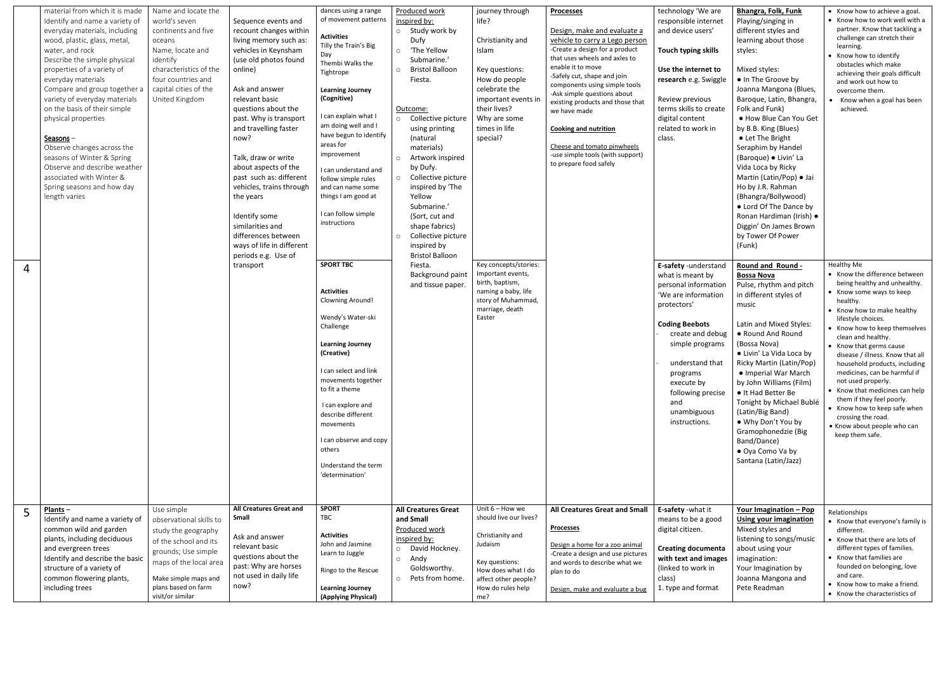|   | material from which it is made<br>Identify and name a variety of<br>everyday materials, including<br>wood, plastic, glass, metal,<br>water, and rock<br>Describe the simple physical<br>properties of a variety of<br>everyday materials<br>Compare and group together a<br>variety of everyday materials<br>on the basis of their simple<br>physical properties<br>$S$ easons $-$<br>Observe changes across the<br>seasons of Winter & Spring<br>Observe and describe weather<br>associated with Winter &<br>Spring seasons and how day<br>length varies | Name and locate the<br>world's seven<br>continents and five<br>oceans<br>Name, locate and<br>identify<br>characteristics of the<br>four countries and<br>capital cities of the<br>United Kingdom          | Sequence events and<br>recount changes within<br>living memory such as:<br>vehicles in Keynsham<br>(use old photos found<br>online)<br>Ask and answer<br>relevant basic<br>questions about the<br>past. Why is transport<br>and travelling faster<br>now?<br>Talk, draw or write<br>about aspects of the<br>past such as: different<br>vehicles, trains through<br>the years<br>Identify some<br>similarities and<br>differences between<br>ways of life in different<br>periods e.g. Use of<br>transport | dances using a range<br>of movement patterns<br><b>Activities</b><br>Tilly the Train's Big<br>Day<br>Thembi Walks the<br>Tightrope<br><b>Learning Journey</b><br>(Cognitive)<br>I can explain what I<br>am doing well and I<br>have begun to identify<br>areas for<br>improvement<br>I can understand and<br>follow simple rules<br>and can name some<br>things I am good at<br>I can follow simple<br>instructions<br><b>SPORT TBC</b><br><b>Activities</b><br><b>Clowning Around!</b><br>Wendy's Water-ski<br>Challenge<br><b>Learning Journey</b><br>(Creative)<br>I can select and link<br>movements together<br>to fit a theme<br>I can explore and<br>describe different<br>movements<br>I can observe and copy<br>others<br>Understand the term<br>'determination' | Produced work<br>inspired by:<br>o Study work by<br>Dufy<br>o 'The Yellow<br>Submarine.'<br><b>Bristol Balloon</b><br>$\circ$<br>Fiesta.<br>Outcome:<br>o Collective picture<br>using printing<br>(natural<br>materials)<br>o Artwork inspired<br>by Dufy.<br>o Collective picture<br>inspired by 'The<br>Yellow<br>Submarine.'<br>(Sort, cut and<br>shape fabrics)<br>Collective picture<br>$\circ$<br>inspired by<br><b>Bristol Balloon</b><br>Fiesta.<br>Background paint<br>and tissue paper. | journey through<br>life?<br>Christianity and<br>Islam<br>Key questions:<br>How do people<br>celebrate the<br>important events in<br>their lives?<br>Why are some<br>times in life<br>special?<br>Key concepts/stories:<br>Important events,<br>birth, baptism,<br>naming a baby, life<br>story of Muhammad,<br>marriage, death<br>Easter | <b>Processes</b><br>Design, make and evaluate a<br>vehicle to carry a Lego person<br>-Create a design for a product<br>that uses wheels and axles to<br>enable it to move<br>-Safely cut, shape and join<br>components using simple tools<br>-Ask simple questions about<br>existing products and those that<br>we have made<br><b>Cooking and nutrition</b><br>Cheese and tomato pinwheels<br>-use simple tools (with support)<br>to prepare food safely | technology 'We are<br>responsible internet<br>and device users'<br>Touch typing skills<br>Use the internet to<br>research e.g. Swiggle<br>Review previous<br>terms skills to create<br>digital content<br>related to work in<br>class.<br>E-safety -understand<br>what is meant by<br>personal information<br>'We are information<br>protectors'<br><b>Coding Beebots</b><br>create and debug<br>simple programs<br>understand that<br>programs<br>execute by<br>following precise<br>and<br>unambiguous<br>instructions. | <b>Bhangra, Folk, Funk</b><br>Playing/singing in<br>different styles and<br>learning about those<br>styles:<br>Mixed styles:<br>. In The Groove by<br>Joanna Mangona (Blues,<br>Baroque, Latin, Bhangra,<br>Folk and Funk)<br>• How Blue Can You Get<br>by B.B. King (Blues)<br>• Let The Bright<br>Seraphim by Handel<br>(Baroque) · Livin' La<br>Vida Loca by Ricky<br>Martin (Latin/Pop) · Jai<br>Ho by J.R. Rahman<br>(Bhangra/Bollywood)<br>• Lord Of The Dance by<br>Ronan Hardiman (Irish) ·<br>Diggin' On James Brown<br>by Tower Of Power<br>(Funk)<br><b>Round and Round -</b><br><b>Bossa Nova</b><br>Pulse, rhythm and pitch<br>in different styles of<br>music<br>Latin and Mixed Styles:<br>• Round And Round<br>(Bossa Nova)<br>• Livin' La Vida Loca by<br>Ricky Martin (Latin/Pop)<br>• Imperial War March<br>by John Williams (Film)<br>• It Had Better Be<br>Tonight by Michael Bublé<br>(Latin/Big Band)<br>• Why Don't You by<br>Gramophonedzie (Big<br>Band/Dance)<br>• Oya Como Va by<br>Santana (Latin/Jazz) | • Know how to achieve a goal.<br>• Know how to work well with a<br>partner. Know that tackling a<br>challenge can stretch their<br>learning.<br>• Know how to identify<br>obstacles which make<br>achieving their goals difficult<br>and work out how to<br>overcome them.<br>Know when a goal has been<br>achieved.<br>Healthy Me<br>• Know the difference between<br>being healthy and unhealthy.<br>• Know some ways to keep<br>healthy.<br>• Know how to make healthy<br>lifestyle choices.<br>• Know how to keep themselves<br>clean and healthy.<br>• Know that germs cause<br>disease / illness. Know that all<br>household products, including<br>medicines, can be harmful if<br>not used properly.<br>• Know that medicines can help<br>them if they feel poorly.<br>• Know how to keep safe when<br>crossing the road.<br>• Know about people who can<br>keep them safe. |
|---|-----------------------------------------------------------------------------------------------------------------------------------------------------------------------------------------------------------------------------------------------------------------------------------------------------------------------------------------------------------------------------------------------------------------------------------------------------------------------------------------------------------------------------------------------------------|-----------------------------------------------------------------------------------------------------------------------------------------------------------------------------------------------------------|-----------------------------------------------------------------------------------------------------------------------------------------------------------------------------------------------------------------------------------------------------------------------------------------------------------------------------------------------------------------------------------------------------------------------------------------------------------------------------------------------------------|---------------------------------------------------------------------------------------------------------------------------------------------------------------------------------------------------------------------------------------------------------------------------------------------------------------------------------------------------------------------------------------------------------------------------------------------------------------------------------------------------------------------------------------------------------------------------------------------------------------------------------------------------------------------------------------------------------------------------------------------------------------------------|---------------------------------------------------------------------------------------------------------------------------------------------------------------------------------------------------------------------------------------------------------------------------------------------------------------------------------------------------------------------------------------------------------------------------------------------------------------------------------------------------|------------------------------------------------------------------------------------------------------------------------------------------------------------------------------------------------------------------------------------------------------------------------------------------------------------------------------------------|-----------------------------------------------------------------------------------------------------------------------------------------------------------------------------------------------------------------------------------------------------------------------------------------------------------------------------------------------------------------------------------------------------------------------------------------------------------|---------------------------------------------------------------------------------------------------------------------------------------------------------------------------------------------------------------------------------------------------------------------------------------------------------------------------------------------------------------------------------------------------------------------------------------------------------------------------------------------------------------------------|--------------------------------------------------------------------------------------------------------------------------------------------------------------------------------------------------------------------------------------------------------------------------------------------------------------------------------------------------------------------------------------------------------------------------------------------------------------------------------------------------------------------------------------------------------------------------------------------------------------------------------------------------------------------------------------------------------------------------------------------------------------------------------------------------------------------------------------------------------------------------------------------------------------------------------------------------------------------------------------------------------------------------------------|-------------------------------------------------------------------------------------------------------------------------------------------------------------------------------------------------------------------------------------------------------------------------------------------------------------------------------------------------------------------------------------------------------------------------------------------------------------------------------------------------------------------------------------------------------------------------------------------------------------------------------------------------------------------------------------------------------------------------------------------------------------------------------------------------------------------------------------------------------------------------------------|
| 5 | $Plants -$<br>Identify and name a variety of<br>common wild and garden<br>plants, including deciduous<br>and evergreen trees<br>Identify and describe the basic<br>structure of a variety of<br>common flowering plants,<br>including trees                                                                                                                                                                                                                                                                                                               | Use simple<br>observational skills to<br>study the geography<br>of the school and its<br>grounds; Use simple<br>maps of the local area<br>Make simple maps and<br>plans based on farm<br>visit/or similar | <b>All Creatures Great and</b><br>Small<br>Ask and answer<br>relevant basic<br>questions about the<br>past: Why are horses<br>not used in daily life<br>now?                                                                                                                                                                                                                                                                                                                                              | <b>SPORT</b><br>TBC<br><b>Activities</b><br>John and Jasmine<br>Learn to Juggle<br>Ringo to the Rescue<br><b>Learning Journey</b><br>(Applying Physical)                                                                                                                                                                                                                                                                                                                                                                                                                                                                                                                                                                                                                  | <b>All Creatures Great</b><br>and Small<br>Produced work<br>inspired by:<br>o David Hockney.<br>$\circ$ Andy<br>Goldsworthy.<br>o Pets from home.                                                                                                                                                                                                                                                                                                                                                 | Unit $6 -$ How we<br>should live our lives?<br>Christianity and<br>Judaism<br>Key questions:<br>How does what I do<br>affect other people?<br>How do rules help<br>me?                                                                                                                                                                   | All Creatures Great and Small<br><b>Processes</b><br>Design a home for a zoo animal<br>-Create a design and use pictures<br>and words to describe what we<br>plan to do<br>Design, make and evaluate a bug                                                                                                                                                                                                                                                | E-safety -what it<br>means to be a good<br>digital citizen.<br><b>Creating documenta</b><br>with text and images<br>(linked to work in<br>class)<br>1. type and format                                                                                                                                                                                                                                                                                                                                                    | <u>Your Imagination - Pop</u><br><b>Using your imagination</b><br>Mixed styles and<br>listening to songs/music<br>about using your<br>imagination:<br>Your Imagination by<br>Joanna Mangona and<br>Pete Readman                                                                                                                                                                                                                                                                                                                                                                                                                                                                                                                                                                                                                                                                                                                                                                                                                      | Relationships<br>• Know that everyone's family is<br>different.<br>• Know that there are lots of<br>different types of families.<br>• Know that families are<br>founded on belonging, love<br>and care.<br>• Know how to make a friend.<br>• Know the characteristics of                                                                                                                                                                                                                                                                                                                                                                                                                                                                                                                                                                                                            |